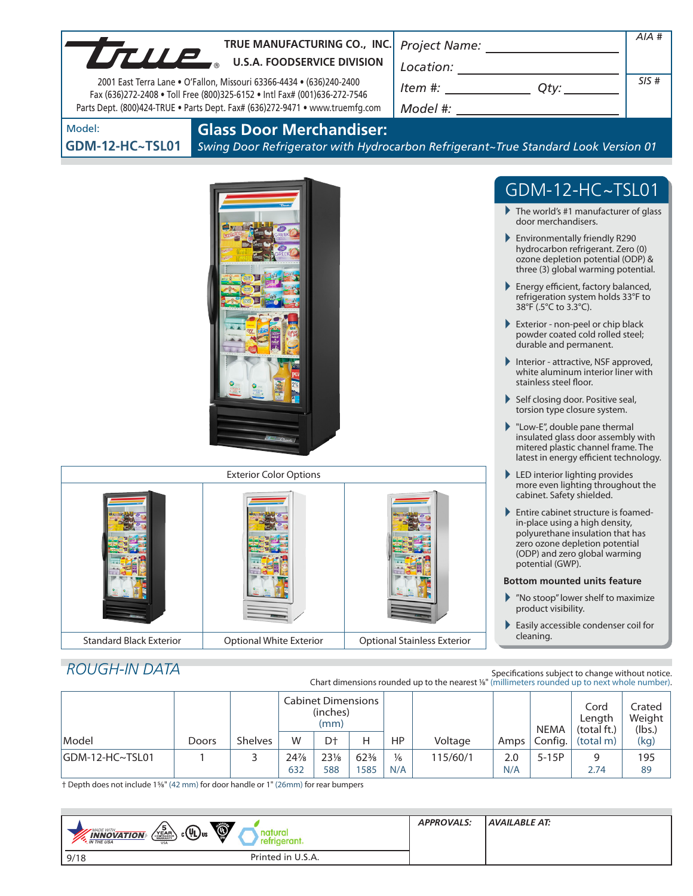| TTUP.                          | TRUE MANUFACTURING CO., INC.                                                                                                                              |                                    |                                                                                                                                                                          | AIA # |
|--------------------------------|-----------------------------------------------------------------------------------------------------------------------------------------------------------|------------------------------------|--------------------------------------------------------------------------------------------------------------------------------------------------------------------------|-------|
|                                | <b>U.S.A. FOODSERVICE DIVISION</b>                                                                                                                        |                                    |                                                                                                                                                                          |       |
|                                | 2001 East Terra Lane . O'Fallon, Missouri 63366-4434 . (636)240-2400                                                                                      |                                    | $\begin{array}{c}\n\text{Location:}\n\\ \hline\n\text{Item } \#: \begin{array}{c}\n\hline\n\end{array} \qquad \qquad \text{Qty:}\n\end{array}\n\end{array}$              | SIS#  |
|                                | Fax (636)272-2408 . Toll Free (800)325-6152 . Intl Fax# (001)636-272-7546<br>Parts Dept. (800)424-TRUE . Parts Dept. Fax# (636)272-9471 . www.truemfg.com |                                    |                                                                                                                                                                          |       |
| Model:                         | <b>Glass Door Merchandiser:</b>                                                                                                                           |                                    |                                                                                                                                                                          |       |
| <b>GDM-12-HC~TSL01</b>         | Swing Door Refrigerator with Hydrocarbon Refrigerant~True Standard Look Version 01                                                                        |                                    |                                                                                                                                                                          |       |
|                                |                                                                                                                                                           |                                    |                                                                                                                                                                          |       |
|                                |                                                                                                                                                           |                                    | $GDM-12-HC\sim TSLO1$                                                                                                                                                    |       |
|                                |                                                                                                                                                           |                                    | $\blacktriangleright$ The world's #1 manufacturer of glass<br>door merchandisers.                                                                                        |       |
|                                |                                                                                                                                                           |                                    | Environmentally friendly R290<br>hydrocarbon refrigerant. Zero (0)<br>ozone depletion potential (ODP) &<br>three (3) global warming potential.                           |       |
|                                |                                                                                                                                                           |                                    | Energy efficient, factory balanced,<br>refrigeration system holds 33°F to<br>38°F (.5°C to 3.3°C).                                                                       |       |
|                                |                                                                                                                                                           |                                    | Exterior - non-peel or chip black<br>powder coated cold rolled steel;<br>durable and permanent.                                                                          |       |
|                                | Interior - attractive, NSF approved,<br>white aluminum interior liner with<br>stainless steel floor.                                                      |                                    |                                                                                                                                                                          |       |
|                                | Self closing door. Positive seal,<br>torsion type closure system.                                                                                         |                                    |                                                                                                                                                                          |       |
|                                |                                                                                                                                                           |                                    | $\blacktriangleright$ "Low-E", double pane thermal<br>insulated glass door assembly with<br>mitered plastic channel frame. The<br>latest in energy efficient technology. |       |
|                                | <b>Exterior Color Options</b>                                                                                                                             |                                    | $\blacktriangleright$ LED interior lighting provides                                                                                                                     |       |
|                                |                                                                                                                                                           |                                    | more even lighting throughout the<br>cabinet. Safety shielded.<br>Entire cabinet structure is foamed-                                                                    |       |
|                                |                                                                                                                                                           |                                    | in-place using a high density,<br>polyurethane insulation that has<br>zero ozone depletion potential<br>(ODP) and zero global warming<br>potential (GWP).                |       |
|                                |                                                                                                                                                           |                                    | <b>Bottom mounted units feature</b>                                                                                                                                      |       |
|                                |                                                                                                                                                           |                                    | Mo stoop" lower shelf to maximize<br>product visibility.                                                                                                                 |       |
|                                |                                                                                                                                                           |                                    | Easily accessible condenser coil for                                                                                                                                     |       |
| <b>Standard Black Exterior</b> | <b>Optional White Exterior</b>                                                                                                                            | <b>Optional Stainless Exterior</b> | cleaning.                                                                                                                                                                |       |
| <b>ROUGH-IN DATA</b>           |                                                                                                                                                           |                                    |                                                                                                                                                                          |       |
|                                |                                                                                                                                                           |                                    | Specifications subject to change without notice.<br>Chart dimensions rounded up to the nearest %" (millimeters rounded up to next whole number).                         |       |

|                  |       |                | <b>Cabinet Dimensions</b><br>(inches)<br>(mm) |                 |                 |               | <b>NEMA</b> | Cord<br>Length<br>(total ft.) | Crated<br>Weight<br>(lbs.) |                     |      |
|------------------|-------|----------------|-----------------------------------------------|-----------------|-----------------|---------------|-------------|-------------------------------|----------------------------|---------------------|------|
| Model            | Doors | <b>Shelves</b> | W                                             | D <sup>+</sup>  | н               | HP            | Voltage     | Amps                          |                            | Config.   (total m) | (kg) |
| IGDM-12-HC~TSL01 |       |                | 24%                                           | $23\frac{1}{8}$ | $62\frac{3}{8}$ | $\frac{1}{6}$ | 115/60/1    | 2.0                           | $5-15P$                    | q                   | 195  |
|                  |       |                | 632                                           | 588             | 585             | N/A           |             | N/A                           |                            | 2.74                | 89   |

† Depth does not include 15/8" (42 mm) for door handle or 1" (26mm) for rear bumpers

| $\bullet$<br>$\left(\frac{5}{\sqrt{E_{AB}}}\right)$ c $\left(\frac{1}{\sqrt{E_{AB}}}\right)$ us<br><b>MADE WITH_</b><br>$\frac{1}{4}$ <b>INNOVATION</b><br>retrigerant. | <b>APPROVALS:</b> | AVAILABLE AT: |
|-------------------------------------------------------------------------------------------------------------------------------------------------------------------------|-------------------|---------------|
| Printed in U.S.A.<br>9/18                                                                                                                                               |                   |               |